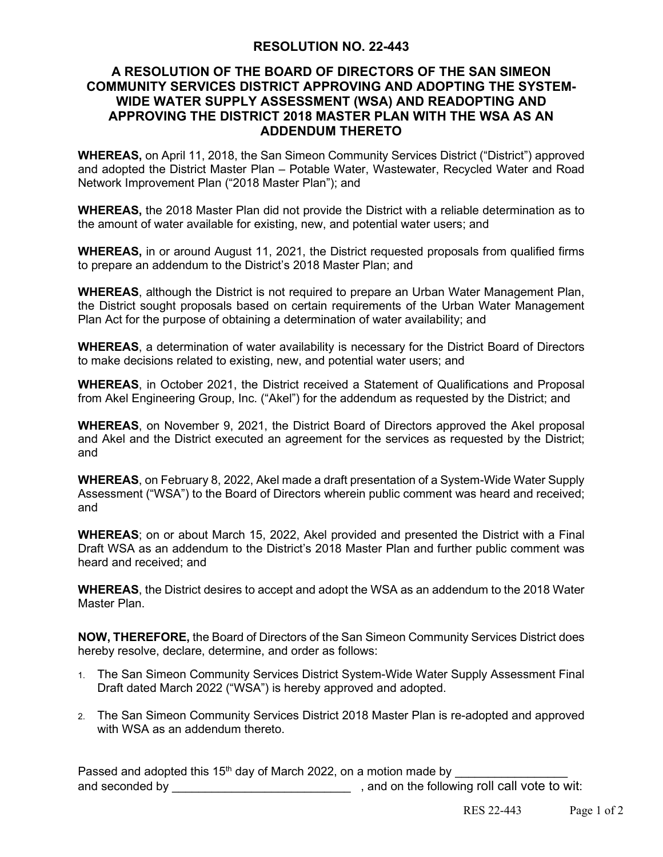## **RESOLUTION NO. 22-443**

## **A RESOLUTION OF THE BOARD OF DIRECTORS OF THE SAN SIMEON COMMUNITY SERVICES DISTRICT APPROVING AND ADOPTING THE SYSTEM-WIDE WATER SUPPLY ASSESSMENT (WSA) AND READOPTING AND APPROVING THE DISTRICT 2018 MASTER PLAN WITH THE WSA AS AN ADDENDUM THERETO**

**WHEREAS,** on April 11, 2018, the San Simeon Community Services District ("District") approved and adopted the District Master Plan – Potable Water, Wastewater, Recycled Water and Road Network Improvement Plan ("2018 Master Plan"); and

**WHEREAS,** the 2018 Master Plan did not provide the District with a reliable determination as to the amount of water available for existing, new, and potential water users; and

**WHEREAS,** in or around August 11, 2021, the District requested proposals from qualified firms to prepare an addendum to the District's 2018 Master Plan; and

**WHEREAS**, although the District is not required to prepare an Urban Water Management Plan, the District sought proposals based on certain requirements of the Urban Water Management Plan Act for the purpose of obtaining a determination of water availability; and

**WHEREAS**, a determination of water availability is necessary for the District Board of Directors to make decisions related to existing, new, and potential water users; and

**WHEREAS**, in October 2021, the District received a Statement of Qualifications and Proposal from Akel Engineering Group, Inc. ("Akel") for the addendum as requested by the District; and

**WHEREAS**, on November 9, 2021, the District Board of Directors approved the Akel proposal and Akel and the District executed an agreement for the services as requested by the District; and

**WHEREAS**, on February 8, 2022, Akel made a draft presentation of a System-Wide Water Supply Assessment ("WSA") to the Board of Directors wherein public comment was heard and received; and

**WHEREAS**; on or about March 15, 2022, Akel provided and presented the District with a Final Draft WSA as an addendum to the District's 2018 Master Plan and further public comment was heard and received; and

**WHEREAS**, the District desires to accept and adopt the WSA as an addendum to the 2018 Water Master Plan.

**NOW, THEREFORE,** the Board of Directors of the San Simeon Community Services District does hereby resolve, declare, determine, and order as follows:

- 1. The San Simeon Community Services District System-Wide Water Supply Assessment Final Draft dated March 2022 ("WSA") is hereby approved and adopted.
- 2. The San Simeon Community Services District 2018 Master Plan is re-adopted and approved with WSA as an addendum thereto.

Passed and adopted this  $15<sup>th</sup>$  day of March 2022, on a motion made by and seconded by  $\qquad \qquad$ , and on the following roll call vote to wit: